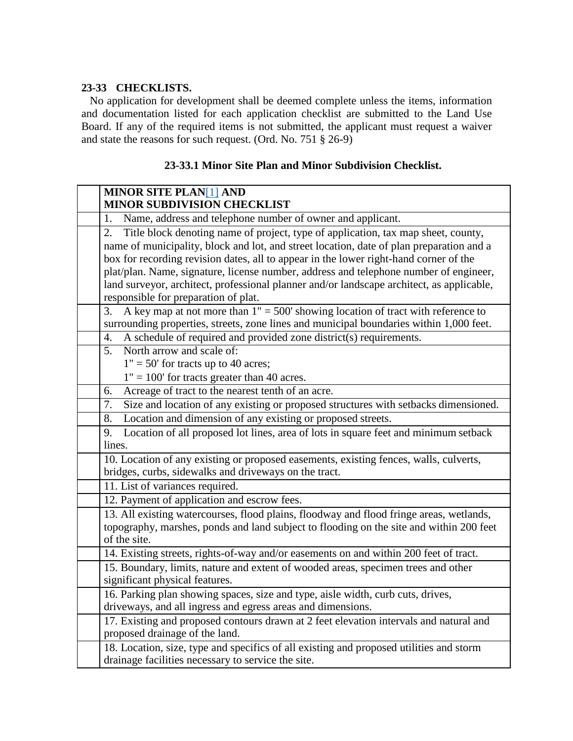#### **23-33 CHECKLISTS.**

No application for development shall be deemed complete unless the items, information and documentation listed for each application checklist are submitted to the Land Use Board. If any of the required items is not submitted, the applicant must request a waiver and state the reasons for such request. (Ord. No. 751 § 26-9)

| <b>MINOR SITE PLAN[1] AND</b><br><b>MINOR SUBDIVISION CHECKLIST</b>                                                                                                                                                                                                                                                                                                                                                                                                                                        |  |  |  |  |  |
|------------------------------------------------------------------------------------------------------------------------------------------------------------------------------------------------------------------------------------------------------------------------------------------------------------------------------------------------------------------------------------------------------------------------------------------------------------------------------------------------------------|--|--|--|--|--|
| Name, address and telephone number of owner and applicant.<br>1.                                                                                                                                                                                                                                                                                                                                                                                                                                           |  |  |  |  |  |
| Title block denoting name of project, type of application, tax map sheet, county,<br>2.<br>name of municipality, block and lot, and street location, date of plan preparation and a<br>box for recording revision dates, all to appear in the lower right-hand corner of the<br>plat/plan. Name, signature, license number, address and telephone number of engineer,<br>land surveyor, architect, professional planner and/or landscape architect, as applicable,<br>responsible for preparation of plat. |  |  |  |  |  |
| A key map at not more than $1" = 500'$ showing location of tract with reference to<br>3.<br>surrounding properties, streets, zone lines and municipal boundaries within 1,000 feet.                                                                                                                                                                                                                                                                                                                        |  |  |  |  |  |
| A schedule of required and provided zone district(s) requirements.<br>4.                                                                                                                                                                                                                                                                                                                                                                                                                                   |  |  |  |  |  |
| North arrow and scale of:<br>5.<br>$1" = 50'$ for tracts up to 40 acres;<br>$1" = 100'$ for tracts greater than 40 acres.                                                                                                                                                                                                                                                                                                                                                                                  |  |  |  |  |  |
| Acreage of tract to the nearest tenth of an acre.<br>6.                                                                                                                                                                                                                                                                                                                                                                                                                                                    |  |  |  |  |  |
| Size and location of any existing or proposed structures with setbacks dimensioned.<br>7.                                                                                                                                                                                                                                                                                                                                                                                                                  |  |  |  |  |  |
| Location and dimension of any existing or proposed streets.<br>8.                                                                                                                                                                                                                                                                                                                                                                                                                                          |  |  |  |  |  |
| Location of all proposed lot lines, area of lots in square feet and minimum setback<br>9.<br>lines.                                                                                                                                                                                                                                                                                                                                                                                                        |  |  |  |  |  |
| 10. Location of any existing or proposed easements, existing fences, walls, culverts,<br>bridges, curbs, sidewalks and driveways on the tract.                                                                                                                                                                                                                                                                                                                                                             |  |  |  |  |  |
| 11. List of variances required.                                                                                                                                                                                                                                                                                                                                                                                                                                                                            |  |  |  |  |  |
| 12. Payment of application and escrow fees.                                                                                                                                                                                                                                                                                                                                                                                                                                                                |  |  |  |  |  |
| 13. All existing watercourses, flood plains, floodway and flood fringe areas, wetlands,<br>topography, marshes, ponds and land subject to flooding on the site and within 200 feet<br>of the site.                                                                                                                                                                                                                                                                                                         |  |  |  |  |  |
| 14. Existing streets, rights-of-way and/or easements on and within 200 feet of tract.                                                                                                                                                                                                                                                                                                                                                                                                                      |  |  |  |  |  |
| 15. Boundary, limits, nature and extent of wooded areas, specimen trees and other<br>significant physical features.                                                                                                                                                                                                                                                                                                                                                                                        |  |  |  |  |  |
| 16. Parking plan showing spaces, size and type, aisle width, curb cuts, drives,<br>driveways, and all ingress and egress areas and dimensions.                                                                                                                                                                                                                                                                                                                                                             |  |  |  |  |  |
| 17. Existing and proposed contours drawn at 2 feet elevation intervals and natural and<br>proposed drainage of the land.                                                                                                                                                                                                                                                                                                                                                                                   |  |  |  |  |  |
| 18. Location, size, type and specifics of all existing and proposed utilities and storm<br>drainage facilities necessary to service the site.                                                                                                                                                                                                                                                                                                                                                              |  |  |  |  |  |

#### **23-33.1 Minor Site Plan and Minor Subdivision Checklist.**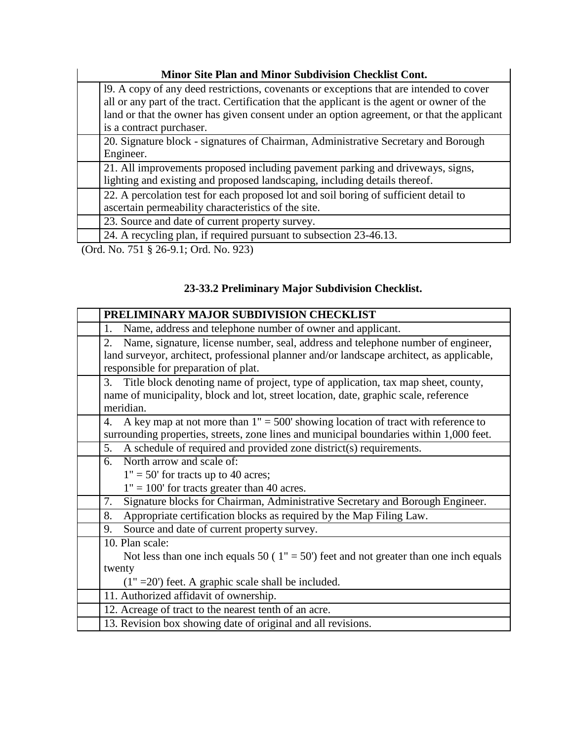### **Minor Site Plan and Minor Subdivision Checklist Cont.**

| Minor Site Plan and Minor Subdivision Checklist Cont.                                       |  |  |  |  |  |
|---------------------------------------------------------------------------------------------|--|--|--|--|--|
| 19. A copy of any deed restrictions, covenants or exceptions that are intended to cover     |  |  |  |  |  |
| all or any part of the tract. Certification that the applicant is the agent or owner of the |  |  |  |  |  |
| land or that the owner has given consent under an option agreement, or that the applicant   |  |  |  |  |  |
| is a contract purchaser.                                                                    |  |  |  |  |  |
| 20. Signature block - signatures of Chairman, Administrative Secretary and Borough          |  |  |  |  |  |
| Engineer.                                                                                   |  |  |  |  |  |
| 21. All improvements proposed including pavement parking and driveways, signs,              |  |  |  |  |  |
| lighting and existing and proposed landscaping, including details thereof.                  |  |  |  |  |  |
| 22. A percolation test for each proposed lot and soil boring of sufficient detail to        |  |  |  |  |  |
| ascertain permeability characteristics of the site.                                         |  |  |  |  |  |
| 23. Source and date of current property survey.                                             |  |  |  |  |  |
| 24. A recycling plan, if required pursuant to subsection 23-46.13.                          |  |  |  |  |  |
| (0.1 N. 751 8 26 0 1.0.1 N. 0.2)                                                            |  |  |  |  |  |

(Ord. No. 751 § 26-9.1; Ord. No. 923)

## **23-33.2 Preliminary Major Subdivision Checklist.**

| PRELIMINARY MAJOR SUBDIVISION CHECKLIST                                                   |  |  |  |  |  |
|-------------------------------------------------------------------------------------------|--|--|--|--|--|
| Name, address and telephone number of owner and applicant.<br>1.                          |  |  |  |  |  |
| Name, signature, license number, seal, address and telephone number of engineer,<br>2.    |  |  |  |  |  |
| land surveyor, architect, professional planner and/or landscape architect, as applicable, |  |  |  |  |  |
| responsible for preparation of plat.                                                      |  |  |  |  |  |
| 3. Title block denoting name of project, type of application, tax map sheet, county,      |  |  |  |  |  |
| name of municipality, block and lot, street location, date, graphic scale, reference      |  |  |  |  |  |
| meridian.                                                                                 |  |  |  |  |  |
| A key map at not more than $1" = 500'$ showing location of tract with reference to<br>4.  |  |  |  |  |  |
| surrounding properties, streets, zone lines and municipal boundaries within 1,000 feet.   |  |  |  |  |  |
| A schedule of required and provided zone district(s) requirements.<br>5.                  |  |  |  |  |  |
| North arrow and scale of:<br>რ. -                                                         |  |  |  |  |  |
| $1" = 50'$ for tracts up to 40 acres;                                                     |  |  |  |  |  |
| $1" = 100'$ for tracts greater than 40 acres.                                             |  |  |  |  |  |
| Signature blocks for Chairman, Administrative Secretary and Borough Engineer.<br>7.       |  |  |  |  |  |
| Appropriate certification blocks as required by the Map Filing Law.<br>8.                 |  |  |  |  |  |
| Source and date of current property survey.<br>9.                                         |  |  |  |  |  |
| 10. Plan scale:                                                                           |  |  |  |  |  |
| Not less than one inch equals 50 ( $1" = 50'$ ) feet and not greater than one inch equals |  |  |  |  |  |
| twenty                                                                                    |  |  |  |  |  |
| $(1" = 20')$ feet. A graphic scale shall be included.                                     |  |  |  |  |  |
| 11. Authorized affidavit of ownership.                                                    |  |  |  |  |  |
| 12. Acreage of tract to the nearest tenth of an acre.                                     |  |  |  |  |  |
| 13. Revision box showing date of original and all revisions.                              |  |  |  |  |  |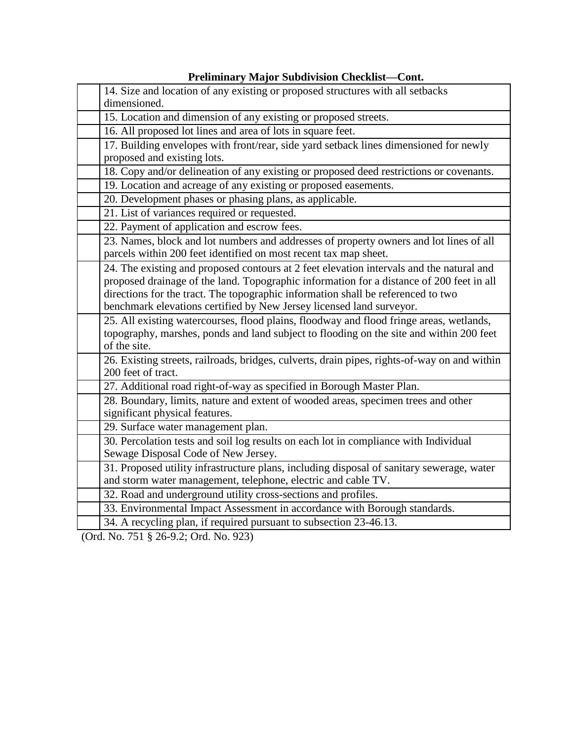| 14. Size and location of any existing or proposed structures with all setbacks<br>dimensioned.                                                                                                                                                                                                                                                   |
|--------------------------------------------------------------------------------------------------------------------------------------------------------------------------------------------------------------------------------------------------------------------------------------------------------------------------------------------------|
| 15. Location and dimension of any existing or proposed streets.                                                                                                                                                                                                                                                                                  |
| 16. All proposed lot lines and area of lots in square feet.                                                                                                                                                                                                                                                                                      |
| 17. Building envelopes with front/rear, side yard setback lines dimensioned for newly<br>proposed and existing lots.                                                                                                                                                                                                                             |
| 18. Copy and/or delineation of any existing or proposed deed restrictions or covenants.                                                                                                                                                                                                                                                          |
| 19. Location and acreage of any existing or proposed easements.                                                                                                                                                                                                                                                                                  |
| 20. Development phases or phasing plans, as applicable.                                                                                                                                                                                                                                                                                          |
| 21. List of variances required or requested.                                                                                                                                                                                                                                                                                                     |
| 22. Payment of application and escrow fees.                                                                                                                                                                                                                                                                                                      |
| 23. Names, block and lot numbers and addresses of property owners and lot lines of all<br>parcels within 200 feet identified on most recent tax map sheet.                                                                                                                                                                                       |
| 24. The existing and proposed contours at 2 feet elevation intervals and the natural and<br>proposed drainage of the land. Topographic information for a distance of 200 feet in all<br>directions for the tract. The topographic information shall be referenced to two<br>benchmark elevations certified by New Jersey licensed land surveyor. |
| 25. All existing watercourses, flood plains, floodway and flood fringe areas, wetlands,<br>topography, marshes, ponds and land subject to flooding on the site and within 200 feet<br>of the site.                                                                                                                                               |
| 26. Existing streets, railroads, bridges, culverts, drain pipes, rights-of-way on and within<br>200 feet of tract.                                                                                                                                                                                                                               |
| 27. Additional road right-of-way as specified in Borough Master Plan.                                                                                                                                                                                                                                                                            |
| 28. Boundary, limits, nature and extent of wooded areas, specimen trees and other<br>significant physical features.                                                                                                                                                                                                                              |
| 29. Surface water management plan.                                                                                                                                                                                                                                                                                                               |
| 30. Percolation tests and soil log results on each lot in compliance with Individual<br>Sewage Disposal Code of New Jersey.                                                                                                                                                                                                                      |
| 31. Proposed utility infrastructure plans, including disposal of sanitary sewerage, water<br>and storm water management, telephone, electric and cable TV.                                                                                                                                                                                       |
| 32. Road and underground utility cross-sections and profiles.                                                                                                                                                                                                                                                                                    |
| 33. Environmental Impact Assessment in accordance with Borough standards.                                                                                                                                                                                                                                                                        |
| 34. A recycling plan, if required pursuant to subsection 23-46.13.                                                                                                                                                                                                                                                                               |

### **Preliminary Major Subdivision Checklist—Cont.**

(Ord. No. 751 § 26-9.2; Ord. No. 923)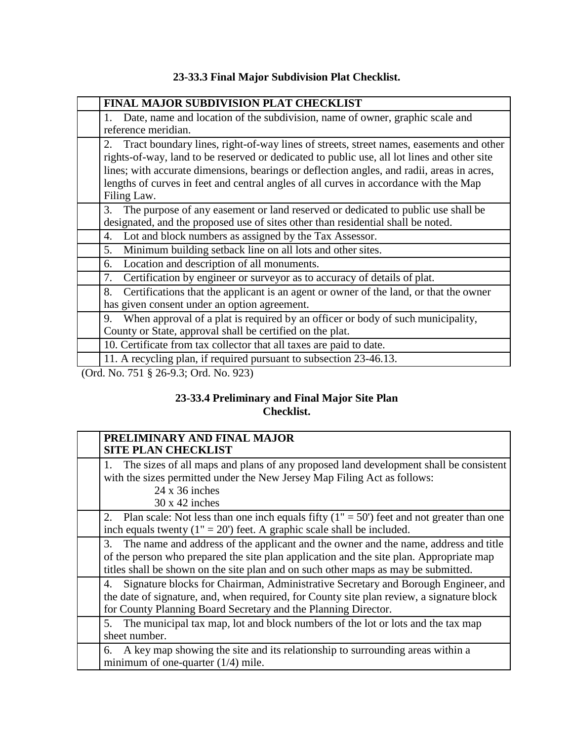### **23-33.3 Final Major Subdivision Plat Checklist.**

| <b>FINAL MAJOR SUBDIVISION PLAT CHECKLIST</b>                                                                                                                                                                                                                                                                                                                                                     |
|---------------------------------------------------------------------------------------------------------------------------------------------------------------------------------------------------------------------------------------------------------------------------------------------------------------------------------------------------------------------------------------------------|
| Date, name and location of the subdivision, name of owner, graphic scale and<br>reference meridian.                                                                                                                                                                                                                                                                                               |
| Tract boundary lines, right-of-way lines of streets, street names, easements and other<br>2.<br>rights-of-way, land to be reserved or dedicated to public use, all lot lines and other site<br>lines; with accurate dimensions, bearings or deflection angles, and radii, areas in acres,<br>lengths of curves in feet and central angles of all curves in accordance with the Map<br>Filing Law. |
| The purpose of any easement or land reserved or dedicated to public use shall be<br>3.<br>designated, and the proposed use of sites other than residential shall be noted.                                                                                                                                                                                                                        |
| Lot and block numbers as assigned by the Tax Assessor.<br>4.                                                                                                                                                                                                                                                                                                                                      |
| Minimum building setback line on all lots and other sites.<br>5.                                                                                                                                                                                                                                                                                                                                  |
| Location and description of all monuments.<br>6.                                                                                                                                                                                                                                                                                                                                                  |
| Certification by engineer or surveyor as to accuracy of details of plat.<br>7.                                                                                                                                                                                                                                                                                                                    |
| Certifications that the applicant is an agent or owner of the land, or that the owner<br>8.<br>has given consent under an option agreement.                                                                                                                                                                                                                                                       |
| When approval of a plat is required by an officer or body of such municipality,<br>9.<br>County or State, approval shall be certified on the plat.                                                                                                                                                                                                                                                |
| 10. Certificate from tax collector that all taxes are paid to date.                                                                                                                                                                                                                                                                                                                               |
| 11. A recycling plan, if required pursuant to subsection 23-46.13.                                                                                                                                                                                                                                                                                                                                |
| $(Ord$ No 751 8 26-9 3: Ord No 923)                                                                                                                                                                                                                                                                                                                                                               |

(Ord. No. 751 § 26-9.3; Ord. No. 923)

### **23-33.4 Preliminary and Final Major Site Plan Checklist.**

| PRELIMINARY AND FINAL MAJOR<br><b>SITE PLAN CHECKLIST</b>                                                                                                                                                                                                               |
|-------------------------------------------------------------------------------------------------------------------------------------------------------------------------------------------------------------------------------------------------------------------------|
| 1. The sizes of all maps and plans of any proposed land development shall be consistent<br>with the sizes permitted under the New Jersey Map Filing Act as follows:<br>$24 \times 36$ inches<br>$30 \times 42$ inches                                                   |
| Plan scale: Not less than one inch equals fifty $(1'' = 50'')$ feet and not greater than one<br>2.<br>inch equals twenty $(1" = 20')$ feet. A graphic scale shall be included.                                                                                          |
| 3. The name and address of the applicant and the owner and the name, address and title<br>of the person who prepared the site plan application and the site plan. Appropriate map<br>titles shall be shown on the site plan and on such other maps as may be submitted. |
| Signature blocks for Chairman, Administrative Secretary and Borough Engineer, and<br>4.<br>the date of signature, and, when required, for County site plan review, a signature block<br>for County Planning Board Secretary and the Planning Director.                  |
| 5. The municipal tax map, lot and block numbers of the lot or lots and the tax map<br>sheet number.                                                                                                                                                                     |
| 6. A key map showing the site and its relationship to surrounding areas within a<br>minimum of one-quarter $(1/4)$ mile.                                                                                                                                                |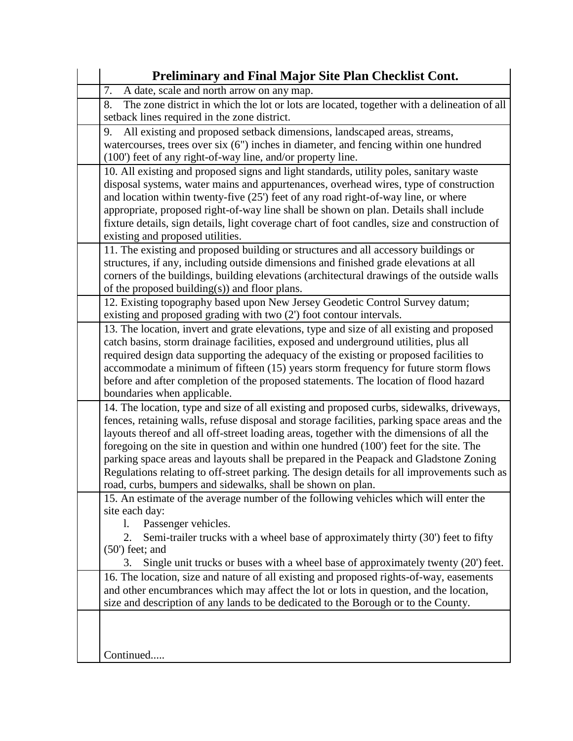| Preliminary and Final Major Site Plan Checklist Cont.                                                                                                                                                                                                                                                                                                                                                                                                                                                                                                                                                                                   |
|-----------------------------------------------------------------------------------------------------------------------------------------------------------------------------------------------------------------------------------------------------------------------------------------------------------------------------------------------------------------------------------------------------------------------------------------------------------------------------------------------------------------------------------------------------------------------------------------------------------------------------------------|
| 7.<br>A date, scale and north arrow on any map.                                                                                                                                                                                                                                                                                                                                                                                                                                                                                                                                                                                         |
| The zone district in which the lot or lots are located, together with a delineation of all<br>8.<br>setback lines required in the zone district.                                                                                                                                                                                                                                                                                                                                                                                                                                                                                        |
| All existing and proposed setback dimensions, landscaped areas, streams,<br>9.<br>watercourses, trees over six $(6)$ inches in diameter, and fencing within one hundred<br>(100') feet of any right-of-way line, and/or property line.                                                                                                                                                                                                                                                                                                                                                                                                  |
| 10. All existing and proposed signs and light standards, utility poles, sanitary waste<br>disposal systems, water mains and appurtenances, overhead wires, type of construction<br>and location within twenty-five (25') feet of any road right-of-way line, or where<br>appropriate, proposed right-of-way line shall be shown on plan. Details shall include<br>fixture details, sign details, light coverage chart of foot candles, size and construction of<br>existing and proposed utilities.                                                                                                                                     |
| 11. The existing and proposed building or structures and all accessory buildings or<br>structures, if any, including outside dimensions and finished grade elevations at all<br>corners of the buildings, building elevations (architectural drawings of the outside walls<br>of the proposed building(s)) and floor plans.                                                                                                                                                                                                                                                                                                             |
| 12. Existing topography based upon New Jersey Geodetic Control Survey datum;<br>existing and proposed grading with two (2') foot contour intervals.                                                                                                                                                                                                                                                                                                                                                                                                                                                                                     |
| 13. The location, invert and grate elevations, type and size of all existing and proposed<br>catch basins, storm drainage facilities, exposed and underground utilities, plus all<br>required design data supporting the adequacy of the existing or proposed facilities to<br>accommodate a minimum of fifteen (15) years storm frequency for future storm flows<br>before and after completion of the proposed statements. The location of flood hazard<br>boundaries when applicable.                                                                                                                                                |
| 14. The location, type and size of all existing and proposed curbs, sidewalks, driveways,<br>fences, retaining walls, refuse disposal and storage facilities, parking space areas and the<br>layouts thereof and all off-street loading areas, together with the dimensions of all the<br>foregoing on the site in question and within one hundred (100') feet for the site. The<br>parking space areas and layouts shall be prepared in the Peapack and Gladstone Zoning<br>Regulations relating to off-street parking. The design details for all improvements such as<br>road, curbs, bumpers and sidewalks, shall be shown on plan. |
| 15. An estimate of the average number of the following vehicles which will enter the<br>site each day:<br>Passenger vehicles.<br>I.<br>Semi-trailer trucks with a wheel base of approximately thirty (30') feet to fifty<br>$(50)$ feet; and<br>Single unit trucks or buses with a wheel base of approximately twenty (20') feet.<br>3.                                                                                                                                                                                                                                                                                                 |
| 16. The location, size and nature of all existing and proposed rights-of-way, easements<br>and other encumbrances which may affect the lot or lots in question, and the location,<br>size and description of any lands to be dedicated to the Borough or to the County.                                                                                                                                                                                                                                                                                                                                                                 |
| Continued                                                                                                                                                                                                                                                                                                                                                                                                                                                                                                                                                                                                                               |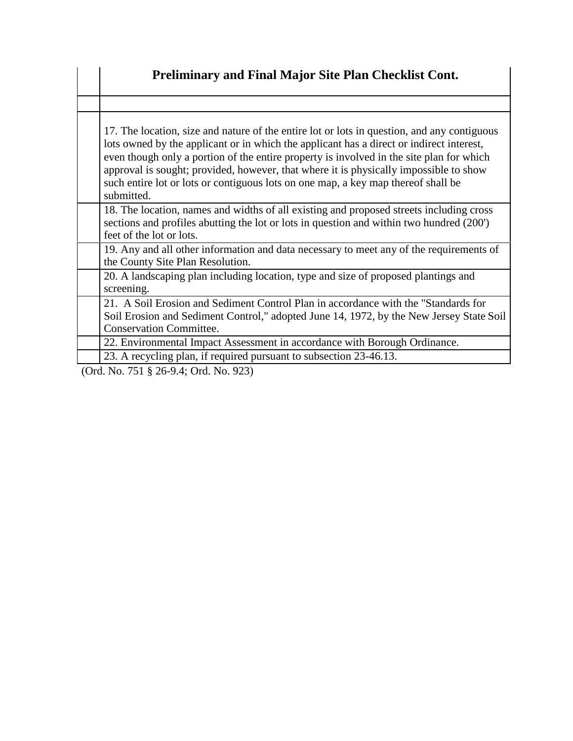| Preliminary and Final Major Site Plan Checklist Cont.                                                                                                                                                                                                                                                                                                                                                                                                                           |
|---------------------------------------------------------------------------------------------------------------------------------------------------------------------------------------------------------------------------------------------------------------------------------------------------------------------------------------------------------------------------------------------------------------------------------------------------------------------------------|
|                                                                                                                                                                                                                                                                                                                                                                                                                                                                                 |
| 17. The location, size and nature of the entire lot or lots in question, and any contiguous<br>lots owned by the applicant or in which the applicant has a direct or indirect interest,<br>even though only a portion of the entire property is involved in the site plan for which<br>approval is sought; provided, however, that where it is physically impossible to show<br>such entire lot or lots or contiguous lots on one map, a key map thereof shall be<br>submitted. |
| 18. The location, names and widths of all existing and proposed streets including cross<br>sections and profiles abutting the lot or lots in question and within two hundred (200')<br>feet of the lot or lots.                                                                                                                                                                                                                                                                 |
| 19. Any and all other information and data necessary to meet any of the requirements of<br>the County Site Plan Resolution.                                                                                                                                                                                                                                                                                                                                                     |
| 20. A landscaping plan including location, type and size of proposed plantings and<br>screening.                                                                                                                                                                                                                                                                                                                                                                                |
| 21. A Soil Erosion and Sediment Control Plan in accordance with the "Standards for<br>Soil Erosion and Sediment Control," adopted June 14, 1972, by the New Jersey State Soil<br><b>Conservation Committee.</b>                                                                                                                                                                                                                                                                 |
| 22. Environmental Impact Assessment in accordance with Borough Ordinance.                                                                                                                                                                                                                                                                                                                                                                                                       |
| 23. A recycling plan, if required pursuant to subsection 23-46.13.                                                                                                                                                                                                                                                                                                                                                                                                              |
| (Ord. No. 751 § 26-9.4; Ord. No. 923)                                                                                                                                                                                                                                                                                                                                                                                                                                           |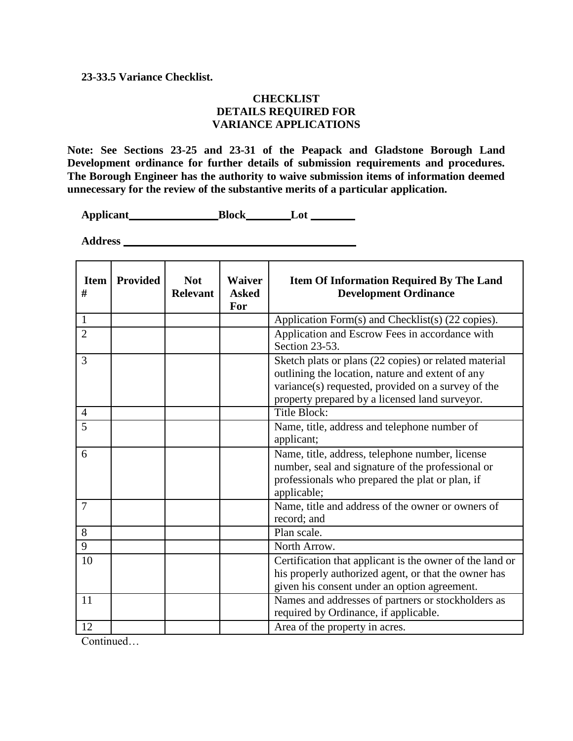#### **23-33.5 Variance Checklist.**

#### **CHECKLIST DETAILS REQUIRED FOR VARIANCE APPLICATIONS**

**Note: See Sections 23-25 and 23-31 of the Peapack and Gladstone Borough Land Development ordinance for further details of submission requirements and procedures. The Borough Engineer has the authority to waive submission items of information deemed unnecessary for the review of the substantive merits of a particular application.**

Applicant\_\_\_\_\_\_\_\_\_\_\_\_\_\_\_\_\_\_\_\_\_\_\_\_Block\_\_\_\_\_\_\_\_\_\_\_Lot

**Address** 

| <b>Item</b><br># | <b>Provided</b> | <b>Not</b><br><b>Relevant</b> | <b>Waiver</b><br><b>Asked</b><br>For | <b>Item Of Information Required By The Land</b><br><b>Development Ordinance</b>                                                                                                                                   |
|------------------|-----------------|-------------------------------|--------------------------------------|-------------------------------------------------------------------------------------------------------------------------------------------------------------------------------------------------------------------|
| $\mathbf{1}$     |                 |                               |                                      | Application Form(s) and Checklist(s) (22 copies).                                                                                                                                                                 |
| $\overline{2}$   |                 |                               |                                      | Application and Escrow Fees in accordance with<br>Section 23-53.                                                                                                                                                  |
| 3                |                 |                               |                                      | Sketch plats or plans (22 copies) or related material<br>outlining the location, nature and extent of any<br>variance(s) requested, provided on a survey of the<br>property prepared by a licensed land surveyor. |
| $\overline{4}$   |                 |                               |                                      | <b>Title Block:</b>                                                                                                                                                                                               |
| 5                |                 |                               |                                      | Name, title, address and telephone number of<br>applicant;                                                                                                                                                        |
| 6                |                 |                               |                                      | Name, title, address, telephone number, license<br>number, seal and signature of the professional or<br>professionals who prepared the plat or plan, if<br>applicable;                                            |
| $\overline{7}$   |                 |                               |                                      | Name, title and address of the owner or owners of<br>record; and                                                                                                                                                  |
| 8                |                 |                               |                                      | Plan scale.                                                                                                                                                                                                       |
| 9                |                 |                               |                                      | North Arrow.                                                                                                                                                                                                      |
| 10               |                 |                               |                                      | Certification that applicant is the owner of the land or<br>his properly authorized agent, or that the owner has<br>given his consent under an option agreement.                                                  |
| 11               |                 |                               |                                      | Names and addresses of partners or stockholders as<br>required by Ordinance, if applicable.                                                                                                                       |
| 12               |                 |                               |                                      | Area of the property in acres.                                                                                                                                                                                    |

Continued…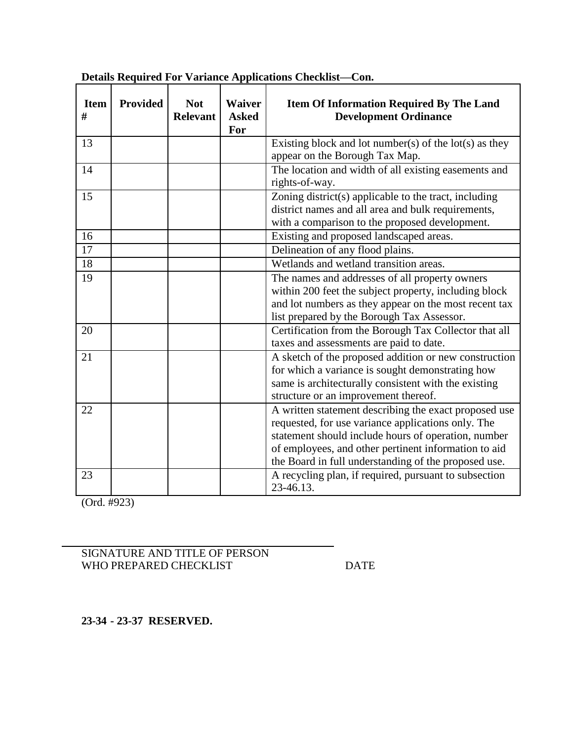| <b>Item</b><br># | <b>Provided</b> | <b>Not</b><br><b>Relevant</b> | <b>Waiver</b><br><b>Asked</b><br>For | <b>Item Of Information Required By The Land</b><br><b>Development Ordinance</b>                                                                                                                                                                                                    |
|------------------|-----------------|-------------------------------|--------------------------------------|------------------------------------------------------------------------------------------------------------------------------------------------------------------------------------------------------------------------------------------------------------------------------------|
| 13               |                 |                               |                                      | Existing block and lot number(s) of the $lot(s)$ as they<br>appear on the Borough Tax Map.                                                                                                                                                                                         |
| 14               |                 |                               |                                      | The location and width of all existing easements and<br>rights-of-way.                                                                                                                                                                                                             |
| 15               |                 |                               |                                      | Zoning district(s) applicable to the tract, including<br>district names and all area and bulk requirements,<br>with a comparison to the proposed development.                                                                                                                      |
| 16               |                 |                               |                                      | Existing and proposed landscaped areas.                                                                                                                                                                                                                                            |
| 17               |                 |                               |                                      | Delineation of any flood plains.                                                                                                                                                                                                                                                   |
| 18               |                 |                               |                                      | Wetlands and wetland transition areas.                                                                                                                                                                                                                                             |
| 19               |                 |                               |                                      | The names and addresses of all property owners<br>within 200 feet the subject property, including block<br>and lot numbers as they appear on the most recent tax<br>list prepared by the Borough Tax Assessor.                                                                     |
| 20               |                 |                               |                                      | Certification from the Borough Tax Collector that all<br>taxes and assessments are paid to date.                                                                                                                                                                                   |
| 21               |                 |                               |                                      | A sketch of the proposed addition or new construction<br>for which a variance is sought demonstrating how<br>same is architecturally consistent with the existing<br>structure or an improvement thereof.                                                                          |
| 22               |                 |                               |                                      | A written statement describing the exact proposed use<br>requested, for use variance applications only. The<br>statement should include hours of operation, number<br>of employees, and other pertinent information to aid<br>the Board in full understanding of the proposed use. |
| 23               |                 |                               |                                      | A recycling plan, if required, pursuant to subsection<br>23-46.13.                                                                                                                                                                                                                 |

**Details Required For Variance Applications Checklist—Con.**

(Ord. #923)

SIGNATURE AND TITLE OF PERSON WHO PREPARED CHECKLIST DATE

**23-34 - 23-37 RESERVED.**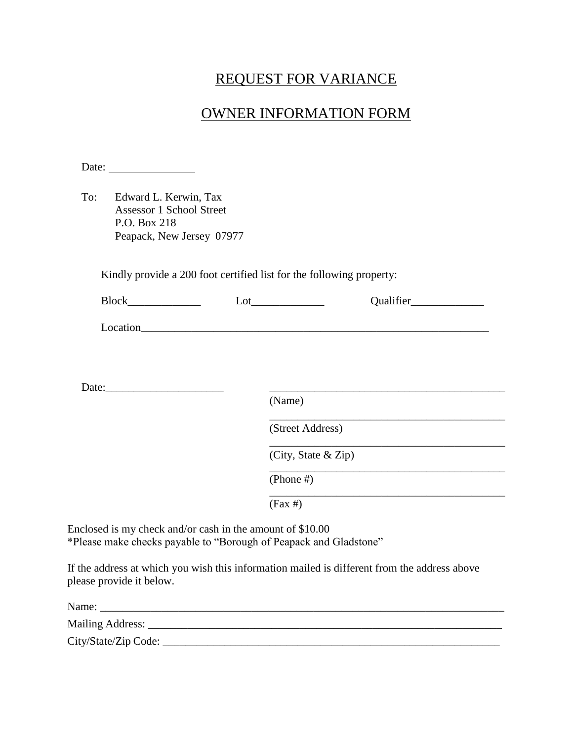# REQUEST FOR VARIANCE

## OWNER INFORMATION FORM

|     | Date: $\frac{1}{\sqrt{1-\frac{1}{2}} \cdot \frac{1}{2}}$                                              |                     |
|-----|-------------------------------------------------------------------------------------------------------|---------------------|
| To: | Edward L. Kerwin, Tax<br><b>Assessor 1 School Street</b><br>P.O. Box 218<br>Peapack, New Jersey 07977 |                     |
|     | Kindly provide a 200 foot certified list for the following property:                                  |                     |
|     |                                                                                                       |                     |
|     |                                                                                                       |                     |
|     |                                                                                                       |                     |
|     | Date:                                                                                                 |                     |
|     |                                                                                                       | (Name)              |
|     |                                                                                                       | (Street Address)    |
|     |                                                                                                       | (City, State & Zip) |
|     |                                                                                                       | (Phone $#$ )        |
|     |                                                                                                       | $(Fax \#)$          |

Enclosed is my check and/or cash in the amount of \$10.00 \*Please make checks payable to "Borough of Peapack and Gladstone"

If the address at which you wish this information mailed is different from the address above please provide it below.

| Name:                |  |
|----------------------|--|
| Mailing Address:     |  |
| City/State/Zip Code: |  |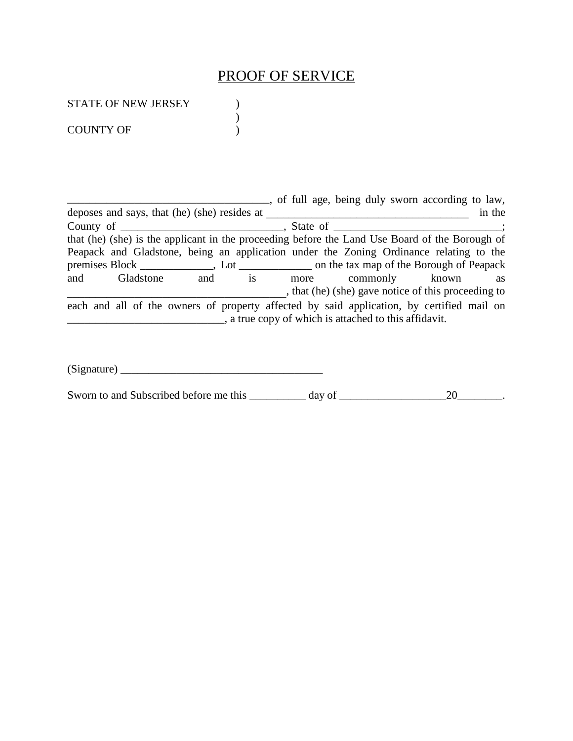## PROOF OF SERVICE

)

STATE OF NEW JERSEY )

COUNTY OF  $\qquad \qquad$  )

**EXECUTE:** The same of the same of full age, being duly sworn according to law, deposes and says, that (he) (she) resides at \_\_\_\_\_\_\_\_\_\_\_\_\_\_\_\_\_\_\_\_\_\_\_\_\_\_\_\_\_\_\_\_\_\_\_\_ in the County of \_\_\_\_\_\_\_\_\_\_\_\_\_\_\_\_\_\_\_\_\_\_\_\_\_\_\_\_\_, State of \_\_\_\_\_\_\_\_\_\_\_\_\_\_\_\_\_\_\_\_\_\_\_\_\_\_\_\_\_\_; that (he) (she) is the applicant in the proceeding before the Land Use Board of the Borough of Peapack and Gladstone, being an application under the Zoning Ordinance relating to the premises Block \_\_\_\_\_\_\_\_\_\_\_, Lot \_\_\_\_\_\_\_\_\_\_\_\_\_ on the tax map of the Borough of Peapack<br>and Gladstone and is more commonly known as and Gladstone and is more commonly known as \_\_\_\_\_\_\_\_\_\_\_\_\_\_\_\_\_\_\_\_\_\_\_\_\_\_\_\_\_\_\_\_\_\_\_\_\_\_\_, that (he) (she) gave notice of this proceeding to each and all of the owners of property affected by said application, by certified mail on \_\_\_\_\_\_\_\_\_\_\_\_\_\_\_\_\_\_\_\_\_\_\_\_\_\_\_\_, a true copy of which is attached to this affidavit.

 $(Signature)$ 

Sworn to and Subscribed before me this \_\_\_\_\_\_\_\_\_ day of \_\_\_\_\_\_\_\_\_\_\_\_\_\_\_\_\_\_\_\_\_\_\_\_\_20\_\_\_\_\_\_\_\_.